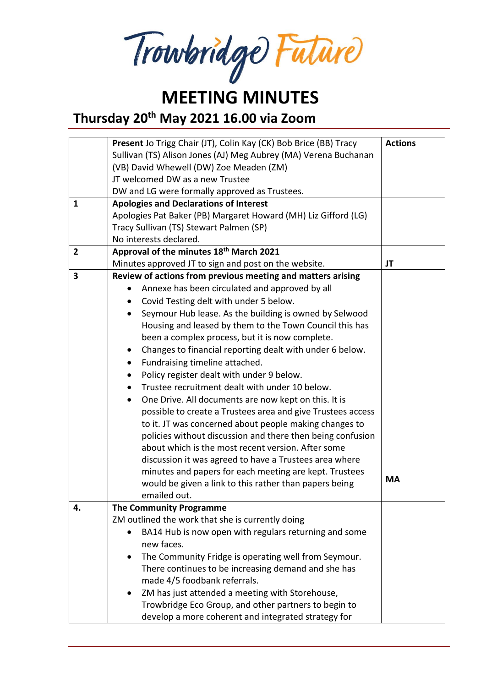Trowbridge Future

## **MEETING MINUTES**

**Thursday 20th May 2021 16.00 via Zoom**

|                | Present Jo Trigg Chair (JT), Colin Kay (CK) Bob Brice (BB) Tracy                                            | <b>Actions</b> |  |  |  |
|----------------|-------------------------------------------------------------------------------------------------------------|----------------|--|--|--|
|                | Sullivan (TS) Alison Jones (AJ) Meg Aubrey (MA) Verena Buchanan                                             |                |  |  |  |
|                | (VB) David Whewell (DW) Zoe Meaden (ZM)                                                                     |                |  |  |  |
|                | JT welcomed DW as a new Trustee                                                                             |                |  |  |  |
|                | DW and LG were formally approved as Trustees.                                                               |                |  |  |  |
| $\mathbf{1}$   | <b>Apologies and Declarations of Interest</b>                                                               |                |  |  |  |
|                | Apologies Pat Baker (PB) Margaret Howard (MH) Liz Gifford (LG)                                              |                |  |  |  |
|                | Tracy Sullivan (TS) Stewart Palmen (SP)                                                                     |                |  |  |  |
|                | No interests declared.                                                                                      |                |  |  |  |
| $\overline{2}$ | Approval of the minutes 18th March 2021                                                                     |                |  |  |  |
|                | Minutes approved JT to sign and post on the website.                                                        |                |  |  |  |
| 3              | Review of actions from previous meeting and matters arising                                                 |                |  |  |  |
|                | Annexe has been circulated and approved by all                                                              |                |  |  |  |
|                | Covid Testing delt with under 5 below.                                                                      |                |  |  |  |
|                | Seymour Hub lease. As the building is owned by Selwood                                                      |                |  |  |  |
|                | Housing and leased by them to the Town Council this has                                                     |                |  |  |  |
|                | been a complex process, but it is now complete.                                                             |                |  |  |  |
|                | Changes to financial reporting dealt with under 6 below.                                                    |                |  |  |  |
|                | Fundraising timeline attached.<br>$\bullet$                                                                 |                |  |  |  |
|                | Policy register dealt with under 9 below.<br>$\bullet$                                                      |                |  |  |  |
|                | Trustee recruitment dealt with under 10 below.<br>$\bullet$                                                 |                |  |  |  |
|                | One Drive. All documents are now kept on this. It is<br>$\bullet$                                           |                |  |  |  |
|                | possible to create a Trustees area and give Trustees access                                                 |                |  |  |  |
|                | to it. JT was concerned about people making changes to                                                      |                |  |  |  |
|                | policies without discussion and there then being confusion                                                  |                |  |  |  |
|                | about which is the most recent version. After some                                                          |                |  |  |  |
|                | discussion it was agreed to have a Trustees area where                                                      |                |  |  |  |
|                | minutes and papers for each meeting are kept. Trustees                                                      |                |  |  |  |
|                | would be given a link to this rather than papers being                                                      | <b>MA</b>      |  |  |  |
|                | emailed out.                                                                                                |                |  |  |  |
| 4.             | <b>The Community Programme</b>                                                                              |                |  |  |  |
|                | ZM outlined the work that she is currently doing                                                            |                |  |  |  |
|                | BA14 Hub is now open with regulars returning and some                                                       |                |  |  |  |
|                | new faces.                                                                                                  |                |  |  |  |
|                | The Community Fridge is operating well from Seymour.                                                        |                |  |  |  |
|                | There continues to be increasing demand and she has                                                         |                |  |  |  |
|                | made 4/5 foodbank referrals.                                                                                |                |  |  |  |
|                | ZM has just attended a meeting with Storehouse,<br>٠                                                        |                |  |  |  |
|                |                                                                                                             |                |  |  |  |
|                |                                                                                                             |                |  |  |  |
|                | Trowbridge Eco Group, and other partners to begin to<br>develop a more coherent and integrated strategy for |                |  |  |  |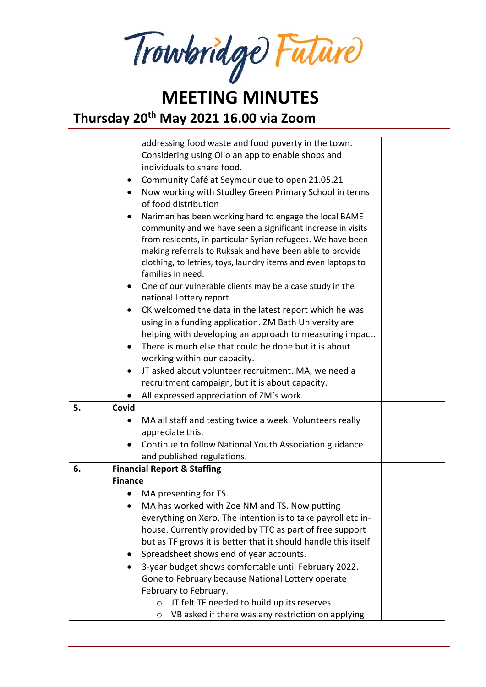Trowbridge Future

### **MEETING MINUTES Thursday 20th May 2021 16.00 via Zoom**

|    |                | addressing food waste and food poverty in the town.                                                               |  |
|----|----------------|-------------------------------------------------------------------------------------------------------------------|--|
|    |                | Considering using Olio an app to enable shops and                                                                 |  |
|    |                | individuals to share food.                                                                                        |  |
|    |                | Community Café at Seymour due to open 21.05.21                                                                    |  |
|    | $\bullet$      | Now working with Studley Green Primary School in terms<br>of food distribution                                    |  |
|    | $\bullet$      | Nariman has been working hard to engage the local BAME                                                            |  |
|    |                | community and we have seen a significant increase in visits                                                       |  |
|    |                | from residents, in particular Syrian refugees. We have been                                                       |  |
|    |                | making referrals to Ruksak and have been able to provide                                                          |  |
|    |                | clothing, toiletries, toys, laundry items and even laptops to                                                     |  |
|    |                | families in need.                                                                                                 |  |
|    | $\bullet$      | One of our vulnerable clients may be a case study in the                                                          |  |
|    |                | national Lottery report.                                                                                          |  |
|    |                | CK welcomed the data in the latest report which he was                                                            |  |
|    |                | using in a funding application. ZM Bath University are                                                            |  |
|    |                | helping with developing an approach to measuring impact.<br>There is much else that could be done but it is about |  |
|    |                |                                                                                                                   |  |
|    |                | working within our capacity.<br>JT asked about volunteer recruitment. MA, we need a                               |  |
|    |                | recruitment campaign, but it is about capacity.                                                                   |  |
|    |                | All expressed appreciation of ZM's work.                                                                          |  |
| 5. | Covid          |                                                                                                                   |  |
|    |                | MA all staff and testing twice a week. Volunteers really                                                          |  |
|    |                | appreciate this.                                                                                                  |  |
|    |                | Continue to follow National Youth Association guidance                                                            |  |
|    |                | and published regulations.                                                                                        |  |
| 6. |                | <b>Financial Report &amp; Staffing</b>                                                                            |  |
|    | <b>Finance</b> |                                                                                                                   |  |
|    |                | MA presenting for TS.                                                                                             |  |
|    |                | MA has worked with Zoe NM and TS. Now putting                                                                     |  |
|    |                | everything on Xero. The intention is to take payroll etc in-                                                      |  |
|    |                | house. Currently provided by TTC as part of free support                                                          |  |
|    |                | but as TF grows it is better that it should handle this itself.                                                   |  |
|    |                | Spreadsheet shows end of year accounts.                                                                           |  |
|    |                | 3-year budget shows comfortable until February 2022.                                                              |  |
|    |                | Gone to February because National Lottery operate                                                                 |  |
|    |                | February to February.                                                                                             |  |
|    |                | JT felt TF needed to build up its reserves<br>$\circ$                                                             |  |
|    |                | VB asked if there was any restriction on applying<br>O                                                            |  |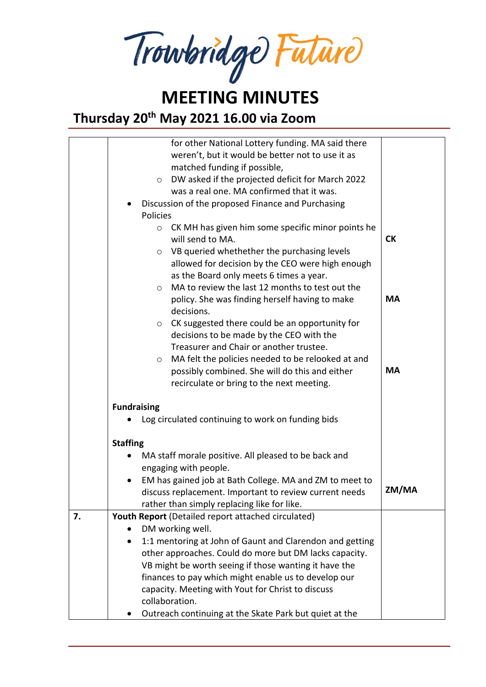Trowbridge Future

# **MEETING MINUTES**

**Thursday 20th May 2021 16.00 via Zoom**

|    | for other National Lottery funding. MA said there<br>weren't, but it would be better not to use it as<br>matched funding if possible,<br>DW asked if the projected deficit for March 2022<br>$\circ$<br>was a real one. MA confirmed that it was.<br>Discussion of the proposed Finance and Purchasing<br>Policies<br>CK MH has given him some specific minor points he<br>$\circ$<br>will send to MA.<br>VB queried whethether the purchasing levels<br>$\circ$<br>allowed for decision by the CEO were high enough | <b>CK</b> |
|----|----------------------------------------------------------------------------------------------------------------------------------------------------------------------------------------------------------------------------------------------------------------------------------------------------------------------------------------------------------------------------------------------------------------------------------------------------------------------------------------------------------------------|-----------|
|    | as the Board only meets 6 times a year.<br>MA to review the last 12 months to test out the<br>$\circ$<br>policy. She was finding herself having to make                                                                                                                                                                                                                                                                                                                                                              | <b>MA</b> |
|    | decisions.<br>CK suggested there could be an opportunity for<br>$\circ$<br>decisions to be made by the CEO with the<br>Treasurer and Chair or another trustee.<br>MA felt the policies needed to be relooked at and<br>$\circ$                                                                                                                                                                                                                                                                                       |           |
|    | possibly combined. She will do this and either<br>recirculate or bring to the next meeting.                                                                                                                                                                                                                                                                                                                                                                                                                          | <b>MA</b> |
|    | <b>Fundraising</b><br>Log circulated continuing to work on funding bids                                                                                                                                                                                                                                                                                                                                                                                                                                              |           |
|    | <b>Staffing</b>                                                                                                                                                                                                                                                                                                                                                                                                                                                                                                      |           |
|    | MA staff morale positive. All pleased to be back and<br>engaging with people.                                                                                                                                                                                                                                                                                                                                                                                                                                        |           |
|    | EM has gained job at Bath College. MA and ZM to meet to<br>discuss replacement. Important to review current needs<br>rather than simply replacing like for like.                                                                                                                                                                                                                                                                                                                                                     | ZM/MA     |
| 7. | Youth Report (Detailed report attached circulated)                                                                                                                                                                                                                                                                                                                                                                                                                                                                   |           |
|    | DM working well.                                                                                                                                                                                                                                                                                                                                                                                                                                                                                                     |           |
|    | 1:1 mentoring at John of Gaunt and Clarendon and getting                                                                                                                                                                                                                                                                                                                                                                                                                                                             |           |
|    | other approaches. Could do more but DM lacks capacity.                                                                                                                                                                                                                                                                                                                                                                                                                                                               |           |
|    | VB might be worth seeing if those wanting it have the                                                                                                                                                                                                                                                                                                                                                                                                                                                                |           |
|    | finances to pay which might enable us to develop our                                                                                                                                                                                                                                                                                                                                                                                                                                                                 |           |
|    | capacity. Meeting with Yout for Christ to discuss                                                                                                                                                                                                                                                                                                                                                                                                                                                                    |           |
|    | collaboration.                                                                                                                                                                                                                                                                                                                                                                                                                                                                                                       |           |
|    | Outreach continuing at the Skate Park but quiet at the                                                                                                                                                                                                                                                                                                                                                                                                                                                               |           |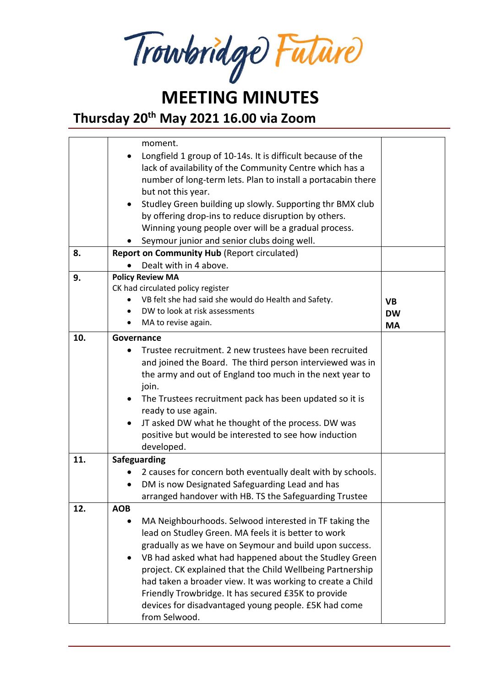Trowbridge Future

## **MEETING MINUTES**

**Thursday 20th May 2021 16.00 via Zoom**

|     | moment.                                                                |           |
|-----|------------------------------------------------------------------------|-----------|
|     | Longfield 1 group of 10-14s. It is difficult because of the            |           |
|     |                                                                        |           |
|     | lack of availability of the Community Centre which has a               |           |
|     | number of long-term lets. Plan to install a portacabin there           |           |
|     | but not this year.                                                     |           |
|     | Studley Green building up slowly. Supporting thr BMX club<br>$\bullet$ |           |
|     | by offering drop-ins to reduce disruption by others.                   |           |
|     | Winning young people over will be a gradual process.                   |           |
|     | Seymour junior and senior clubs doing well.                            |           |
| 8.  | <b>Report on Community Hub (Report circulated)</b>                     |           |
|     | Dealt with in 4 above.                                                 |           |
| 9.  | <b>Policy Review MA</b>                                                |           |
|     | CK had circulated policy register                                      |           |
|     | VB felt she had said she would do Health and Safety.                   | <b>VB</b> |
|     | DW to look at risk assessments<br>$\bullet$                            | <b>DW</b> |
|     | MA to revise again.                                                    | <b>MA</b> |
| 10. | Governance                                                             |           |
|     | Trustee recruitment. 2 new trustees have been recruited                |           |
|     |                                                                        |           |
|     | and joined the Board. The third person interviewed was in              |           |
|     | the army and out of England too much in the next year to               |           |
|     | join.                                                                  |           |
|     | The Trustees recruitment pack has been updated so it is<br>$\bullet$   |           |
|     | ready to use again.                                                    |           |
|     | JT asked DW what he thought of the process. DW was<br>$\bullet$        |           |
|     | positive but would be interested to see how induction                  |           |
|     | developed.                                                             |           |
| 11. | Safeguarding                                                           |           |
|     | 2 causes for concern both eventually dealt with by schools.<br>٠       |           |
|     | DM is now Designated Safeguarding Lead and has<br>$\bullet$            |           |
|     | arranged handover with HB. TS the Safeguarding Trustee                 |           |
| 12. | <b>AOB</b>                                                             |           |
|     | MA Neighbourhoods. Selwood interested in TF taking the                 |           |
|     | lead on Studley Green. MA feels it is better to work                   |           |
|     | gradually as we have on Seymour and build upon success.                |           |
|     |                                                                        |           |
|     | VB had asked what had happened about the Studley Green                 |           |
|     | project. CK explained that the Child Wellbeing Partnership             |           |
|     | had taken a broader view. It was working to create a Child             |           |
|     | Friendly Trowbridge. It has secured £35K to provide                    |           |
|     | devices for disadvantaged young people. £5K had come                   |           |
|     | from Selwood.                                                          |           |